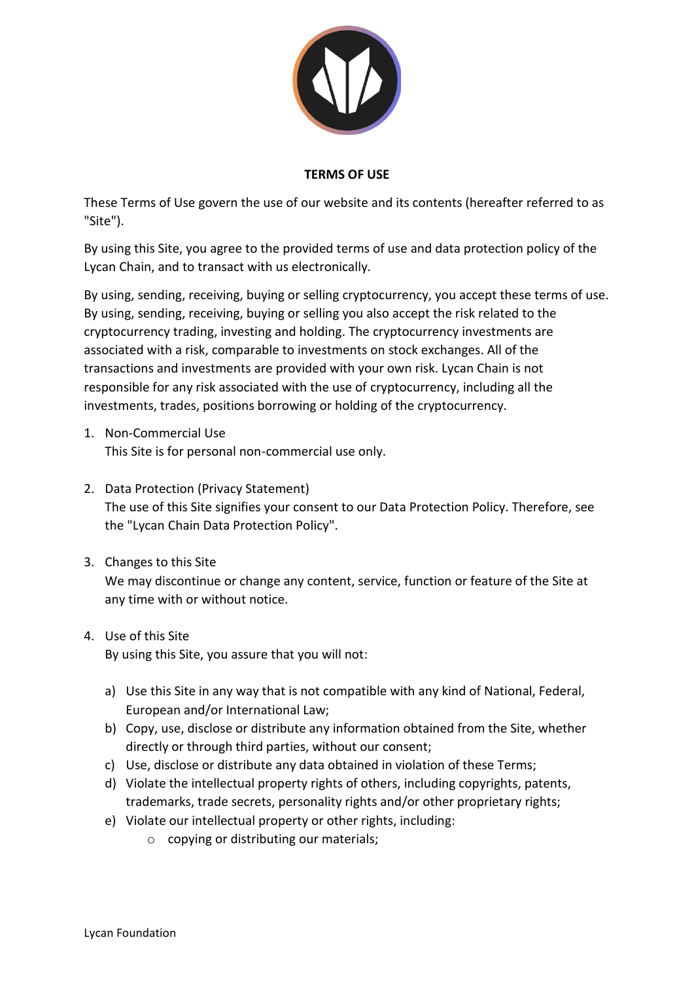

#### **TERMS OF USE**

These Terms of Use govern the use of our website and its contents (hereafter referred to as "Site").

By using this Site, you agree to the provided terms of use and data protection policy of the Lycan Chain, and to transact with us electronically.

By using, sending, receiving, buying or selling cryptocurrency, you accept these terms of use. By using, sending, receiving, buying or selling you also accept the risk related to the cryptocurrency trading, investing and holding. The cryptocurrency investments are associated with a risk, comparable to investments on stock exchanges. All of the transactions and investments are provided with your own risk. Lycan Chain is not responsible for any risk associated with the use of cryptocurrency, including all the investments, trades, positions borrowing or holding of the cryptocurrency.

- 1. Non-Commercial Use This Site is for personal non-commercial use only.
- 2. Data Protection (Privacy Statement) The use of this Site signifies your consent to our Data Protection Policy. Therefore, see the "Lycan Chain Data Protection Policy".
- 3. Changes to this Site We may discontinue or change any content, service, function or feature of the Site at any time with or without notice.
- 4. Use of this Site By using this Site, you assure that you will not:
	- a) Use this Site in any way that is not compatible with any kind of National, Federal, European and/or International Law;
	- b) Copy, use, disclose or distribute any information obtained from the Site, whether directly or through third parties, without our consent;
	- c) Use, disclose or distribute any data obtained in violation of these Terms;
	- d) Violate the intellectual property rights of others, including copyrights, patents, trademarks, trade secrets, personality rights and/or other proprietary rights;
	- e) Violate our intellectual property or other rights, including:
		- o copying or distributing our materials;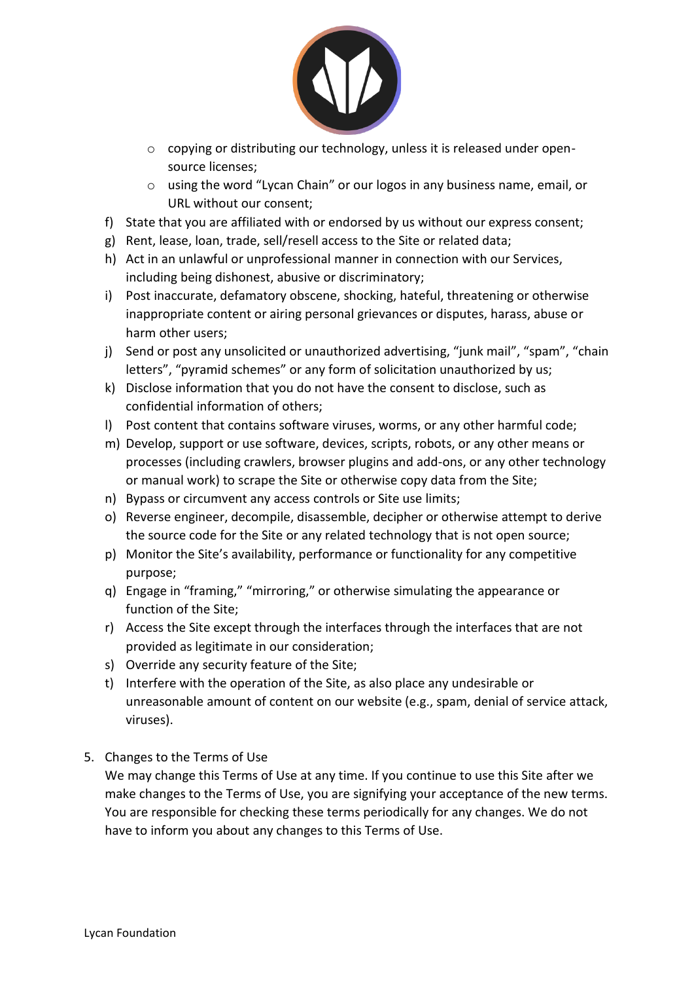

- o copying or distributing our technology, unless it is released under opensource licenses;
- o using the word "Lycan Chain" or our logos in any business name, email, or URL without our consent;
- f) State that you are affiliated with or endorsed by us without our express consent;
- g) Rent, lease, loan, trade, sell/resell access to the Site or related data;
- h) Act in an unlawful or unprofessional manner in connection with our Services, including being dishonest, abusive or discriminatory;
- i) Post inaccurate, defamatory obscene, shocking, hateful, threatening or otherwise inappropriate content or airing personal grievances or disputes, harass, abuse or harm other users;
- j) Send or post any unsolicited or unauthorized advertising, "junk mail", "spam", "chain letters", "pyramid schemes" or any form of solicitation unauthorized by us;
- k) Disclose information that you do not have the consent to disclose, such as confidential information of others;
- l) Post content that contains software viruses, worms, or any other harmful code;
- m) Develop, support or use software, devices, scripts, robots, or any other means or processes (including crawlers, browser plugins and add-ons, or any other technology or manual work) to scrape the Site or otherwise copy data from the Site;
- n) Bypass or circumvent any access controls or Site use limits;
- o) Reverse engineer, decompile, disassemble, decipher or otherwise attempt to derive the source code for the Site or any related technology that is not open source;
- p) Monitor the Site's availability, performance or functionality for any competitive purpose;
- q) Engage in "framing," "mirroring," or otherwise simulating the appearance or function of the Site;
- r) Access the Site except through the interfaces through the interfaces that are not provided as legitimate in our consideration;
- s) Override any security feature of the Site;
- t) Interfere with the operation of the Site, as also place any undesirable or unreasonable amount of content on our website (e.g., spam, denial of service attack, viruses).
- 5. Changes to the Terms of Use

We may change this Terms of Use at any time. If you continue to use this Site after we make changes to the Terms of Use, you are signifying your acceptance of the new terms. You are responsible for checking these terms periodically for any changes. We do not have to inform you about any changes to this Terms of Use.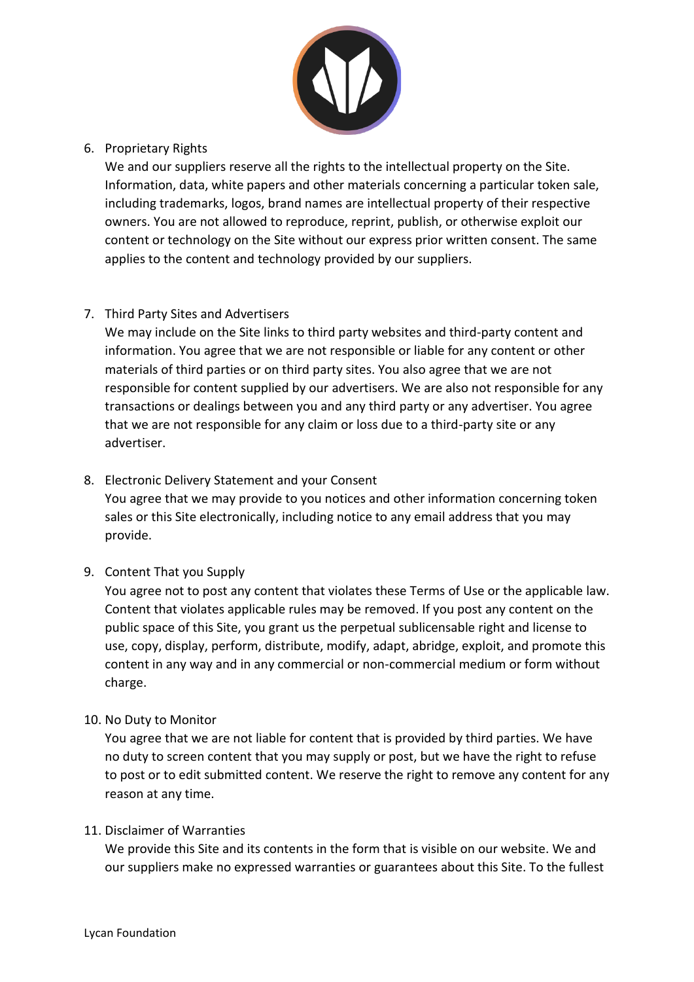

### 6. Proprietary Rights

We and our suppliers reserve all the rights to the intellectual property on the Site. Information, data, white papers and other materials concerning a particular token sale, including trademarks, logos, brand names are intellectual property of their respective owners. You are not allowed to reproduce, reprint, publish, or otherwise exploit our content or technology on the Site without our express prior written consent. The same applies to the content and technology provided by our suppliers.

### 7. Third Party Sites and Advertisers

We may include on the Site links to third party websites and third-party content and information. You agree that we are not responsible or liable for any content or other materials of third parties or on third party sites. You also agree that we are not responsible for content supplied by our advertisers. We are also not responsible for any transactions or dealings between you and any third party or any advertiser. You agree that we are not responsible for any claim or loss due to a third-party site or any advertiser.

# 8. Electronic Delivery Statement and your Consent

You agree that we may provide to you notices and other information concerning token sales or this Site electronically, including notice to any email address that you may provide.

### 9. Content That you Supply

You agree not to post any content that violates these Terms of Use or the applicable law. Content that violates applicable rules may be removed. If you post any content on the public space of this Site, you grant us the perpetual sublicensable right and license to use, copy, display, perform, distribute, modify, adapt, abridge, exploit, and promote this content in any way and in any commercial or non-commercial medium or form without charge.

### 10. No Duty to Monitor

You agree that we are not liable for content that is provided by third parties. We have no duty to screen content that you may supply or post, but we have the right to refuse to post or to edit submitted content. We reserve the right to remove any content for any reason at any time.

### 11. Disclaimer of Warranties

We provide this Site and its contents in the form that is visible on our website. We and our suppliers make no expressed warranties or guarantees about this Site. To the fullest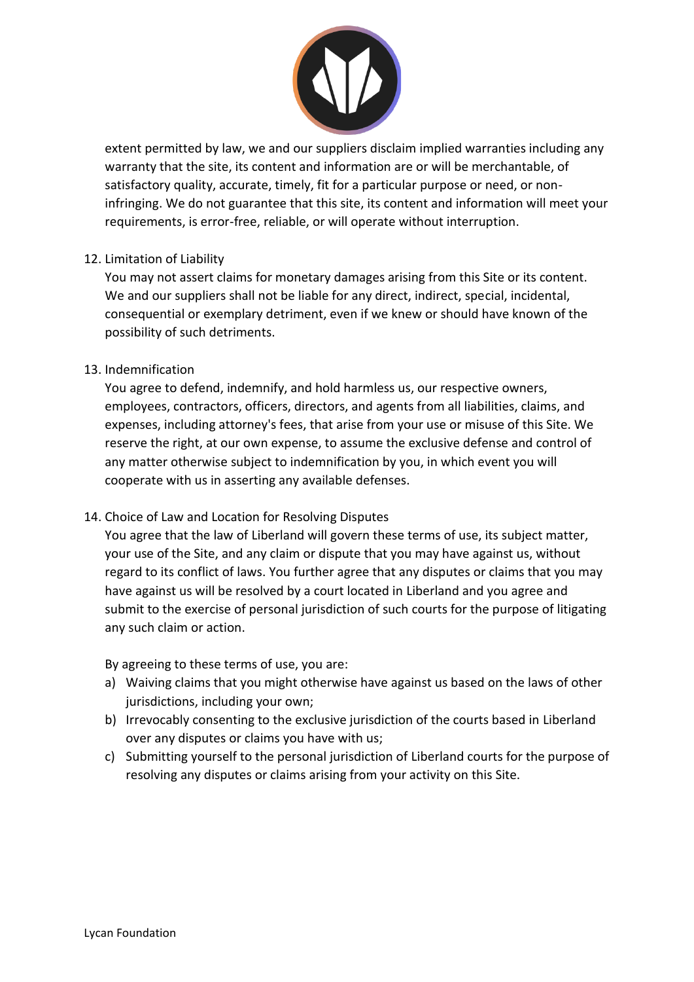

extent permitted by law, we and our suppliers disclaim implied warranties including any warranty that the site, its content and information are or will be merchantable, of satisfactory quality, accurate, timely, fit for a particular purpose or need, or noninfringing. We do not guarantee that this site, its content and information will meet your requirements, is error-free, reliable, or will operate without interruption.

### 12. Limitation of Liability

You may not assert claims for monetary damages arising from this Site or its content. We and our suppliers shall not be liable for any direct, indirect, special, incidental, consequential or exemplary detriment, even if we knew or should have known of the possibility of such detriments.

#### 13. Indemnification

You agree to defend, indemnify, and hold harmless us, our respective owners, employees, contractors, officers, directors, and agents from all liabilities, claims, and expenses, including attorney's fees, that arise from your use or misuse of this Site. We reserve the right, at our own expense, to assume the exclusive defense and control of any matter otherwise subject to indemnification by you, in which event you will cooperate with us in asserting any available defenses.

### 14. Choice of Law and Location for Resolving Disputes

You agree that the law of Liberland will govern these terms of use, its subject matter, your use of the Site, and any claim or dispute that you may have against us, without regard to its conflict of laws. You further agree that any disputes or claims that you may have against us will be resolved by a court located in Liberland and you agree and submit to the exercise of personal jurisdiction of such courts for the purpose of litigating any such claim or action.

By agreeing to these terms of use, you are:

- a) Waiving claims that you might otherwise have against us based on the laws of other jurisdictions, including your own;
- b) Irrevocably consenting to the exclusive jurisdiction of the courts based in Liberland over any disputes or claims you have with us;
- c) Submitting yourself to the personal jurisdiction of Liberland courts for the purpose of resolving any disputes or claims arising from your activity on this Site.